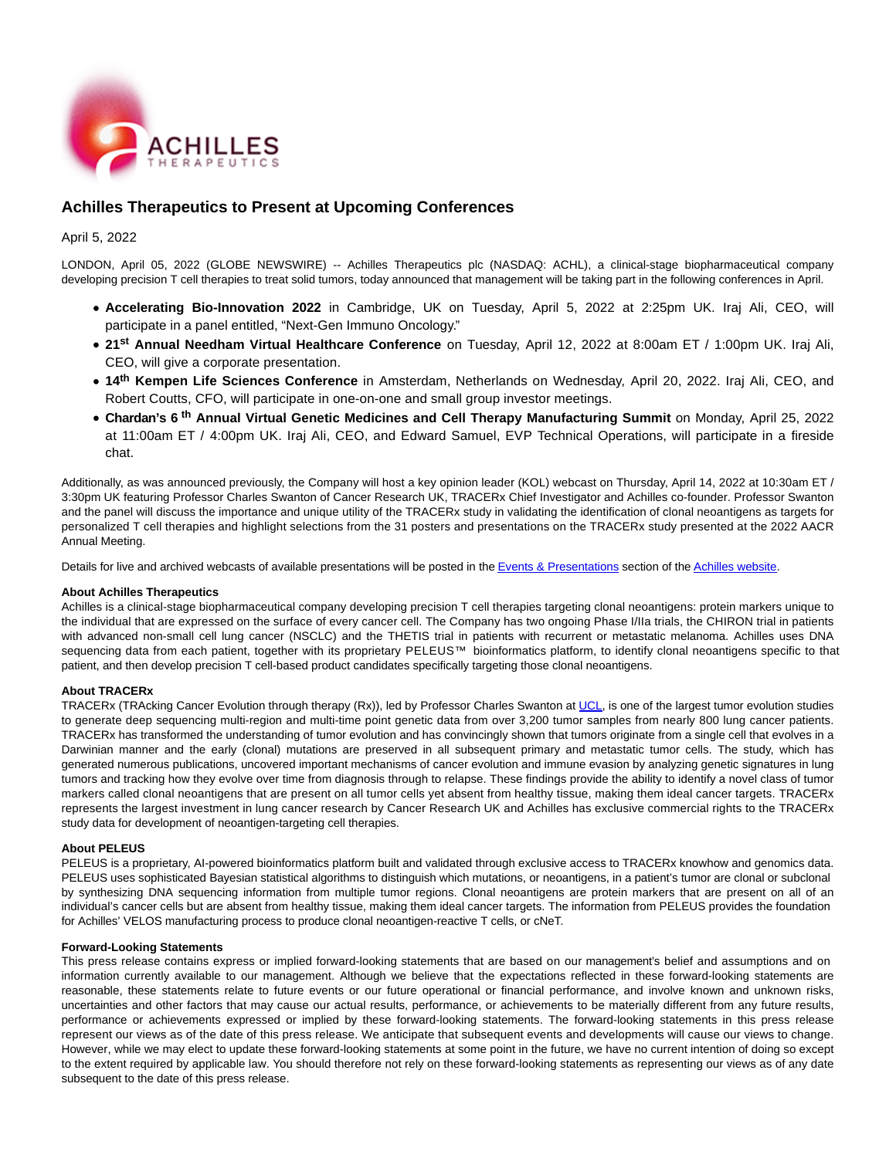

# **Achilles Therapeutics to Present at Upcoming Conferences**

# April 5, 2022

LONDON, April 05, 2022 (GLOBE NEWSWIRE) -- Achilles Therapeutics plc (NASDAQ: ACHL), a clinical-stage biopharmaceutical company developing precision T cell therapies to treat solid tumors, today announced that management will be taking part in the following conferences in April.

- **Accelerating Bio-Innovation 2022** in Cambridge, UK on Tuesday, April 5, 2022 at 2:25pm UK. Iraj Ali, CEO, will participate in a panel entitled, "Next-Gen Immuno Oncology."
- **21st Annual Needham Virtual Healthcare Conference** on Tuesday, April 12, 2022 at 8:00am ET / 1:00pm UK. Iraj Ali, CEO, will give a corporate presentation.
- **14th Kempen Life Sciences Conference** in Amsterdam, Netherlands on Wednesday, April 20, 2022. Iraj Ali, CEO, and Robert Coutts, CFO, will participate in one-on-one and small group investor meetings.
- **Chardan's 6<sup>th</sup> Annual Virtual Genetic Medicines and Cell Therapy Manufacturing Summit on Monday, April 25, 2022** at 11:00am ET / 4:00pm UK. Iraj Ali, CEO, and Edward Samuel, EVP Technical Operations, will participate in a fireside chat.

Additionally, as was announced previously, the Company will host a key opinion leader (KOL) webcast on Thursday, April 14, 2022 at 10:30am ET / 3:30pm UK featuring Professor Charles Swanton of Cancer Research UK, TRACERx Chief Investigator and Achilles co-founder. Professor Swanton and the panel will discuss the importance and unique utility of the TRACERx study in validating the identification of clonal neoantigens as targets for personalized T cell therapies and highlight selections from the 31 posters and presentations on the TRACERx study presented at the 2022 AACR Annual Meeting.

Details for live and archived webcasts of available presentations will be posted in th[e Events & Presentations s](https://www.globenewswire.com/Tracker?data=vsCQiSoC7-5cuJxwSNnE3gF2Y4T68h2KBBt6UdU5EKa9cDEdISKaaRoTdFByE_uHPswIUQe0dAvVWTuu0GRWrh1kCG19pQXCLc5e34hwEk2JZ68dgLZPIQTMwbgW1WlLrXS3t1YmQmz_jdShMjj8wQ==)ection of th[e Achilles website.](https://www.globenewswire.com/Tracker?data=2YOErWVUH6y1Gl2hcLg9dlE89Ct3_iZyZ5FKefStc1xG_S7NBEt76jzAgvIghul2wRKKU4t-zc9I3rls5VZ3lA==)

### **About Achilles Therapeutics**

Achilles is a clinical-stage biopharmaceutical company developing precision T cell therapies targeting clonal neoantigens: protein markers unique to the individual that are expressed on the surface of every cancer cell. The Company has two ongoing Phase I/IIa trials, the CHIRON trial in patients with advanced non-small cell lung cancer (NSCLC) and the THETIS trial in patients with recurrent or metastatic melanoma. Achilles uses DNA sequencing data from each patient, together with its proprietary PELEUS™ bioinformatics platform, to identify clonal neoantigens specific to that patient, and then develop precision T cell-based product candidates specifically targeting those clonal neoantigens.

## **About TRACERx**

TRACERx (TRAcking Cancer Evolution through therapy (Rx)), led by Professor Charles Swanton at [UCL,](https://www.globenewswire.com/Tracker?data=wWPgEQCpHgc28TWeHfll-0DYfsPhAp6FGgAr3Y30fnWpmtf5tAybD6xXHQRWFdY6) is one of the largest tumor evolution studies to generate deep sequencing multi-region and multi-time point genetic data from over 3,200 tumor samples from nearly 800 lung cancer patients. TRACERx has transformed the understanding of tumor evolution and has convincingly shown that tumors originate from a single cell that evolves in a Darwinian manner and the early (clonal) mutations are preserved in all subsequent primary and metastatic tumor cells. The study, which has generated numerous publications, uncovered important mechanisms of cancer evolution and immune evasion by analyzing genetic signatures in lung tumors and tracking how they evolve over time from diagnosis through to relapse. These findings provide the ability to identify a novel class of tumor markers called clonal neoantigens that are present on all tumor cells yet absent from healthy tissue, making them ideal cancer targets. TRACERx represents the largest investment in lung cancer research by Cancer Research UK and Achilles has exclusive commercial rights to the TRACERx study data for development of neoantigen-targeting cell therapies.

#### **About PELEUS**

PELEUS is a proprietary, AI-powered bioinformatics platform built and validated through exclusive access to TRACERx knowhow and genomics data. PELEUS uses sophisticated Bayesian statistical algorithms to distinguish which mutations, or neoantigens, in a patient's tumor are clonal or subclonal by synthesizing DNA sequencing information from multiple tumor regions. Clonal neoantigens are protein markers that are present on all of an individual's cancer cells but are absent from healthy tissue, making them ideal cancer targets. The information from PELEUS provides the foundation for Achilles' VELOS manufacturing process to produce clonal neoantigen-reactive T cells, or cNeT.

#### **Forward-Looking Statements**

This press release contains express or implied forward-looking statements that are based on our management's belief and assumptions and on information currently available to our management. Although we believe that the expectations reflected in these forward-looking statements are reasonable, these statements relate to future events or our future operational or financial performance, and involve known and unknown risks, uncertainties and other factors that may cause our actual results, performance, or achievements to be materially different from any future results, performance or achievements expressed or implied by these forward-looking statements. The forward-looking statements in this press release represent our views as of the date of this press release. We anticipate that subsequent events and developments will cause our views to change. However, while we may elect to update these forward-looking statements at some point in the future, we have no current intention of doing so except to the extent required by applicable law. You should therefore not rely on these forward-looking statements as representing our views as of any date subsequent to the date of this press release.